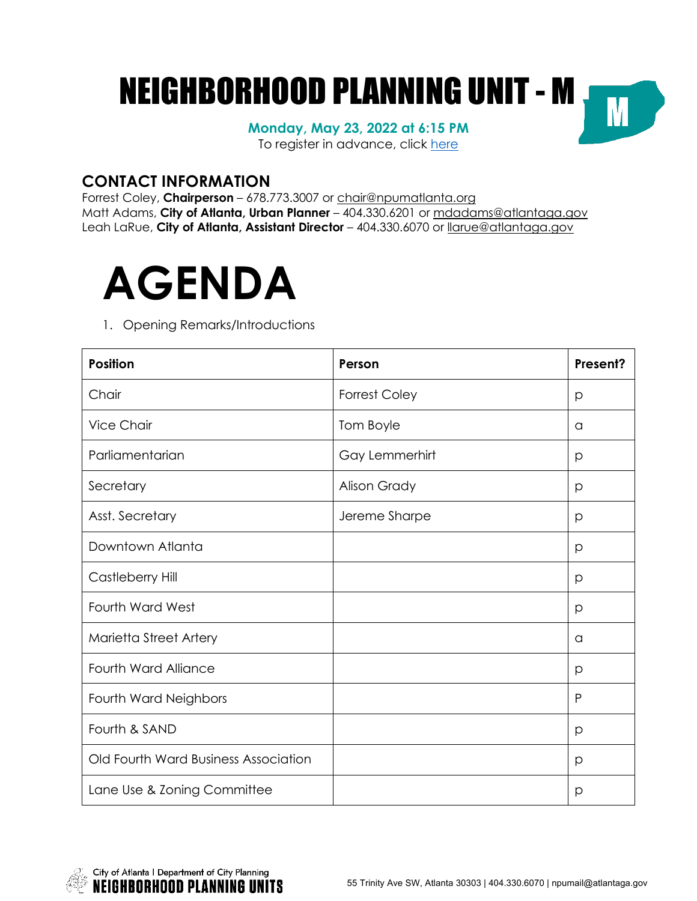# NEIGHBORHOOD PLANNING UNIT - MM

**Monday, May 23, 2022 at 6:15 PM** To register in advance, click here

### **CONTACT INFORMATION**

Forrest Coley, **Chairperson** – 678.773.3007 or chair@npumatlanta.org Matt Adams, **City of Atlanta, Urban Planner** – 404.330.6201 or mdadams@atlantaga.gov Leah LaRue, **City of Atlanta, Assistant Director** – 404.330.6070 or llarue@atlantaga.gov



#### 1. Opening Remarks/Introductions

| <b>Position</b>                      | Person               | Present? |
|--------------------------------------|----------------------|----------|
| Chair                                | <b>Forrest Coley</b> | р        |
| <b>Vice Chair</b>                    | Tom Boyle            | a        |
| Parliamentarian                      | Gay Lemmerhirt       | p        |
| Secretary                            | <b>Alison Grady</b>  | p        |
| Asst. Secretary                      | Jereme Sharpe        | p        |
| Downtown Atlanta                     |                      | p        |
| Castleberry Hill                     |                      | p        |
| <b>Fourth Ward West</b>              |                      | p        |
| Marietta Street Artery               |                      | a        |
| <b>Fourth Ward Alliance</b>          |                      | p        |
| Fourth Ward Neighbors                |                      | P        |
| Fourth & SAND                        |                      | p        |
| Old Fourth Ward Business Association |                      | p        |
| Lane Use & Zoning Committee          |                      | р        |

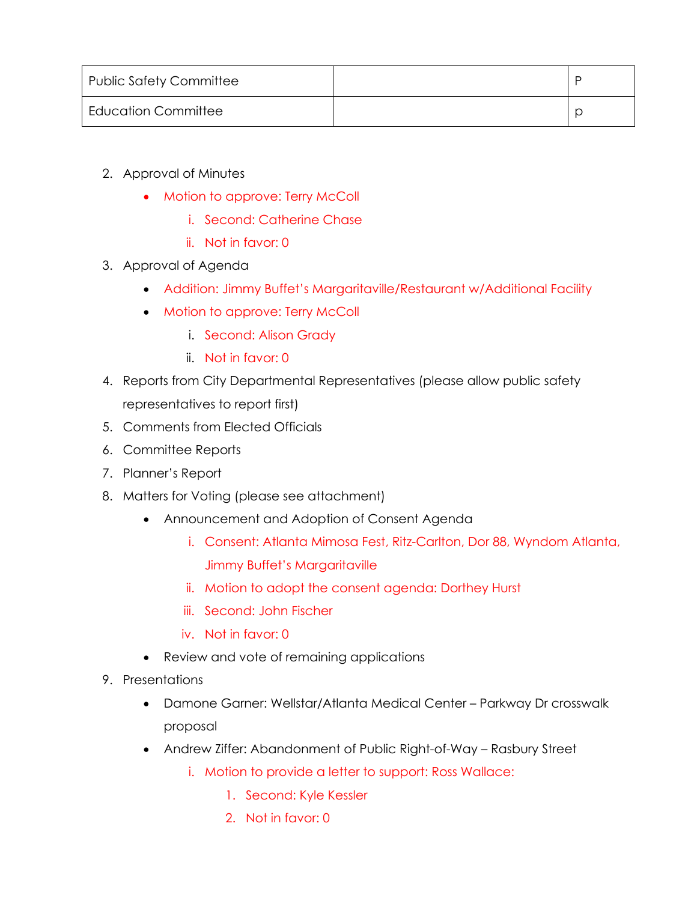| <b>Public Safety Committee</b> |  |
|--------------------------------|--|
| <b>Education Committee</b>     |  |

- 2. Approval of Minutes
	- Motion to approve: Terry McColl
		- i. Second: Catherine Chase
		- ii. Not in favor: 0
- 3. Approval of Agenda
	- Addition: Jimmy Buffet's Margaritaville/Restaurant w/Additional Facility
	- Motion to approve: Terry McColl
		- i. Second: Alison Grady
		- ii. Not in favor: 0
- 4. Reports from City Departmental Representatives (please allow public safety representatives to report first)
- 5. Comments from Elected Officials
- 6. Committee Reports
- 7. Planner's Report
- 8. Matters for Voting (please see attachment)
	- Announcement and Adoption of Consent Agenda
		- i. Consent: Atlanta Mimosa Fest, Ritz-Carlton, Dor 88, Wyndom Atlanta, Jimmy Buffet's Margaritaville
		- ii. Motion to adopt the consent agenda: Dorthey Hurst
		- iii. Second: John Fischer
		- iv. Not in favor: 0
	- Review and vote of remaining applications
- 9. Presentations
	- Damone Garner: Wellstar/Atlanta Medical Center Parkway Dr crosswalk proposal
	- Andrew Ziffer: Abandonment of Public Right-of-Way Rasbury Street
		- i. Motion to provide a letter to support: Ross Wallace:
			- 1. Second: Kyle Kessler
			- 2. Not in favor: 0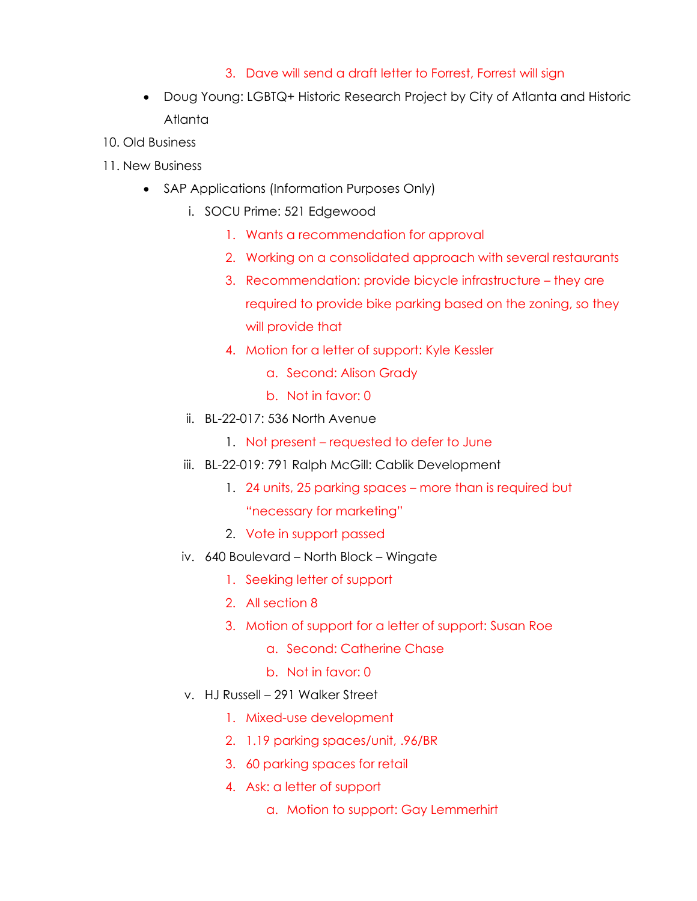#### 3. Dave will send a draft letter to Forrest, Forrest will sign

- Doug Young: LGBTQ+ Historic Research Project by City of Atlanta and Historic Atlanta
- 10. Old Business
- 11. New Business
	- SAP Applications (Information Purposes Only)
		- i. SOCU Prime: 521 Edgewood
			- 1. Wants a recommendation for approval
			- 2. Working on a consolidated approach with several restaurants
			- 3. Recommendation: provide bicycle infrastructure they are required to provide bike parking based on the zoning, so they will provide that
			- 4. Motion for a letter of support: Kyle Kessler
				- a. Second: Alison Grady
				- b. Not in favor: 0
		- ii. BL-22-017: 536 North Avenue
			- 1. Not present requested to defer to June
		- iii. BL-22-019: 791 Ralph McGill: Cablik Development
			- 1. 24 units, 25 parking spaces more than is required but "necessary for marketing"
			- 2. Vote in support passed
		- iv. 640 Boulevard North Block Wingate
			- 1. Seeking letter of support
			- 2. All section 8
			- 3. Motion of support for a letter of support: Susan Roe
				- a. Second: Catherine Chase
				- b. Not in favor: 0
		- v. HJ Russell 291 Walker Street
			- 1. Mixed-use development
			- 2. 1.19 parking spaces/unit, .96/BR
			- 3. 60 parking spaces for retail
			- 4. Ask: a letter of support
				- a. Motion to support: Gay Lemmerhirt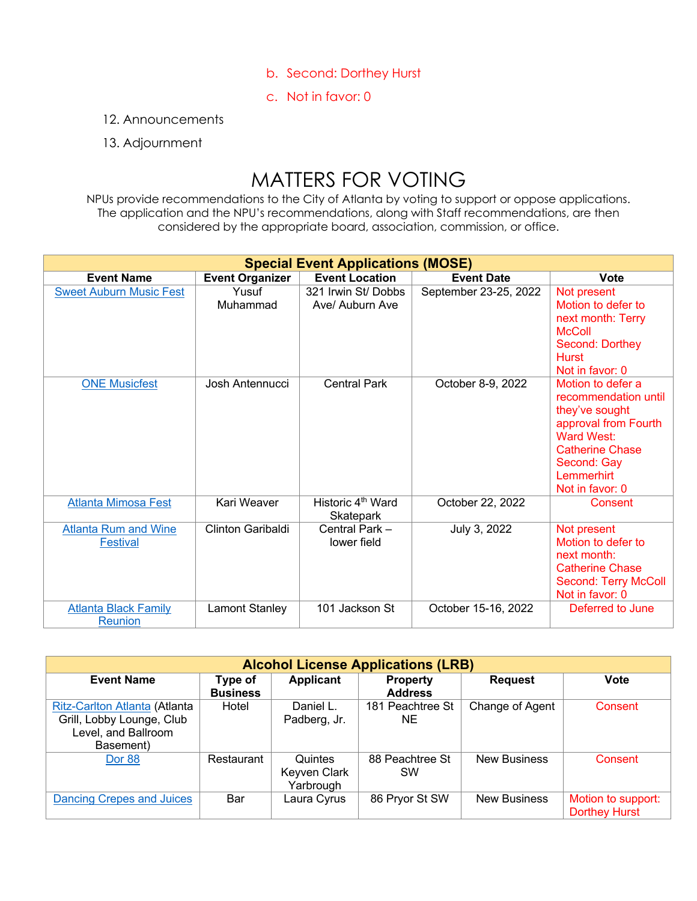- b. Second: Dorthey Hurst
- c. Not in favor: 0
- 12. Announcements

#### 13. Adjournment

## MATTERS FOR VOTING

NPUs provide recommendations to the City of Atlanta by voting to support or oppose applications. The application and the NPU's recommendations, along with Staff recommendations, are then considered by the appropriate board, association, commission, or office.

| <b>Special Event Applications (MOSE)</b>       |                        |                                            |                       |                                                                                                                                                                             |  |
|------------------------------------------------|------------------------|--------------------------------------------|-----------------------|-----------------------------------------------------------------------------------------------------------------------------------------------------------------------------|--|
| <b>Event Name</b>                              | <b>Event Organizer</b> | <b>Event Location</b>                      | <b>Event Date</b>     | <b>Vote</b>                                                                                                                                                                 |  |
| <b>Sweet Auburn Music Fest</b>                 | Yusuf<br>Muhammad      | 321 Irwin St/ Dobbs<br>Ave/ Auburn Ave     | September 23-25, 2022 | Not present<br>Motion to defer to<br>next month: Terry<br><b>McColl</b><br>Second: Dorthey<br><b>Hurst</b><br>Not in favor: 0                                               |  |
| <b>ONE Musicfest</b>                           | Josh Antennucci        | <b>Central Park</b>                        | October 8-9, 2022     | Motion to defer a<br>recommendation until<br>they've sought<br>approval from Fourth<br>Ward West:<br><b>Catherine Chase</b><br>Second: Gay<br>Lemmerhirt<br>Not in favor: 0 |  |
| <b>Atlanta Mimosa Fest</b>                     | Kari Weaver            | Historic 4 <sup>th</sup> Ward<br>Skatepark | October 22, 2022      | Consent                                                                                                                                                                     |  |
| <b>Atlanta Rum and Wine</b><br><b>Festival</b> | Clinton Garibaldi      | Central Park -<br>lower field              | July 3, 2022          | Not present<br>Motion to defer to<br>next month:<br><b>Catherine Chase</b><br><b>Second: Terry McColl</b><br>Not in favor: 0                                                |  |
| <b>Atlanta Black Family</b><br>Reunion         | Lamont Stanley         | 101 Jackson St                             | October 15-16, 2022   | Deferred to June                                                                                                                                                            |  |

| <b>Alcohol License Applications (LRB)</b>                                                      |                            |                                      |                                   |                     |                                            |
|------------------------------------------------------------------------------------------------|----------------------------|--------------------------------------|-----------------------------------|---------------------|--------------------------------------------|
| <b>Event Name</b>                                                                              | Type of<br><b>Business</b> | Applicant                            | <b>Property</b><br><b>Address</b> | <b>Request</b>      | <b>Vote</b>                                |
| Ritz-Carlton Atlanta (Atlanta<br>Grill, Lobby Lounge, Club<br>Level, and Ballroom<br>Basement) | Hotel                      | Daniel L.<br>Padberg, Jr.            | 181 Peachtree St<br>NE.           | Change of Agent     | Consent                                    |
| Dor 88                                                                                         | Restaurant                 | Quintes<br>Keyven Clark<br>Yarbrough | 88 Peachtree St<br>SW             | <b>New Business</b> | Consent                                    |
| Dancing Crepes and Juices                                                                      | Bar                        | Laura Cyrus                          | 86 Pryor St SW                    | <b>New Business</b> | Motion to support:<br><b>Dorthey Hurst</b> |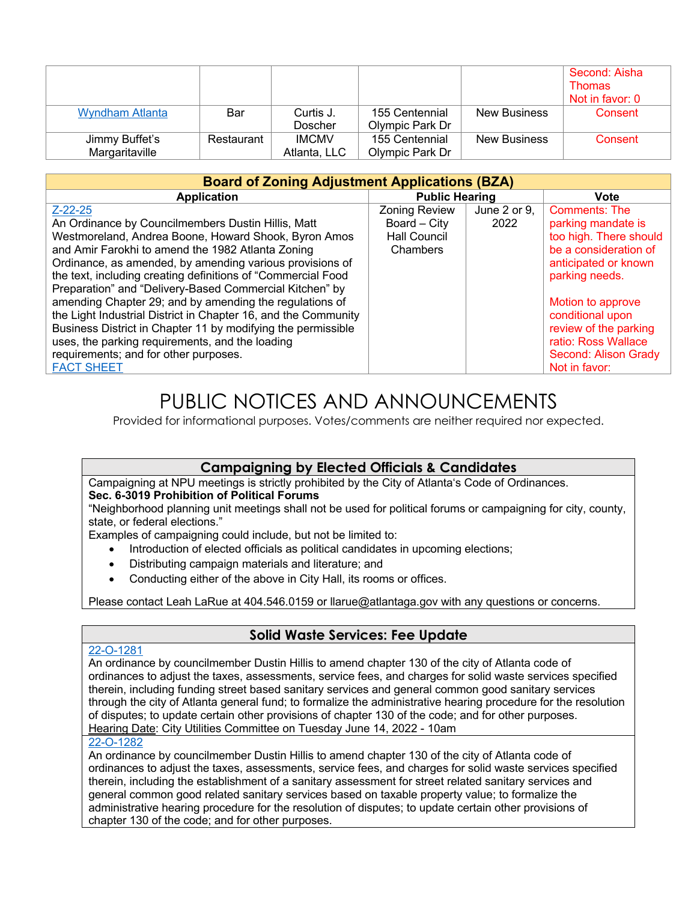|                        |            |              |                 |                     | Second: Aisha   |
|------------------------|------------|--------------|-----------------|---------------------|-----------------|
|                        |            |              |                 |                     | <b>Thomas</b>   |
|                        |            |              |                 |                     | Not in favor: 0 |
| <b>Wyndham Atlanta</b> | Bar        | Curtis J.    | 155 Centennial  | <b>New Business</b> | Consent         |
|                        |            | Doscher      | Olympic Park Dr |                     |                 |
| Jimmy Buffet's         | Restaurant | <b>IMCMV</b> | 155 Centennial  | <b>New Business</b> | Consent         |
| Margaritaville         |            | Atlanta, LLC | Olympic Park Dr |                     |                 |

| <b>Board of Zoning Adjustment Applications (BZA)</b>           |                       |              |                        |  |  |  |
|----------------------------------------------------------------|-----------------------|--------------|------------------------|--|--|--|
| <b>Application</b>                                             | <b>Public Hearing</b> |              | <b>Vote</b>            |  |  |  |
| $Z - 22 - 25$                                                  | <b>Zoning Review</b>  | June 2 or 9. | <b>Comments: The</b>   |  |  |  |
| An Ordinance by Councilmembers Dustin Hillis, Matt             | Board - City          | 2022         | parking mandate is     |  |  |  |
| Westmoreland, Andrea Boone, Howard Shook, Byron Amos           | <b>Hall Council</b>   |              | too high. There should |  |  |  |
| and Amir Farokhi to amend the 1982 Atlanta Zoning              | Chambers              |              | be a consideration of  |  |  |  |
| Ordinance, as amended, by amending various provisions of       |                       |              | anticipated or known   |  |  |  |
| the text, including creating definitions of "Commercial Food   |                       |              | parking needs.         |  |  |  |
| Preparation" and "Delivery-Based Commercial Kitchen" by        |                       |              |                        |  |  |  |
| amending Chapter 29; and by amending the regulations of        |                       |              | Motion to approve      |  |  |  |
| the Light Industrial District in Chapter 16, and the Community |                       |              | conditional upon       |  |  |  |
| Business District in Chapter 11 by modifying the permissible   |                       |              | review of the parking  |  |  |  |
| uses, the parking requirements, and the loading                |                       |              | ratio: Ross Wallace    |  |  |  |
| requirements; and for other purposes.                          |                       |              | Second: Alison Grady   |  |  |  |
| <b>FACT SHEET</b>                                              |                       |              | Not in favor:          |  |  |  |

## PUBLIC NOTICES AND ANNOUNCEMENTS

Provided for informational purposes. Votes/comments are neither required nor expected.

#### **Campaigning by Elected Officials & Candidates**

Campaigning at NPU meetings is strictly prohibited by the City of Atlanta's Code of Ordinances.

#### **Sec. 6-3019 Prohibition of Political Forums**

"Neighborhood planning unit meetings shall not be used for political forums or campaigning for city, county, state, or federal elections."

Examples of campaigning could include, but not be limited to:

- Introduction of elected officials as political candidates in upcoming elections;
- Distributing campaign materials and literature; and
- Conducting either of the above in City Hall, its rooms or offices.

Please contact Leah LaRue at 404.546.0159 or llarue@atlantaga.gov with any questions or concerns.

#### **Solid Waste Services: Fee Update**

#### 22-O-1281

An ordinance by councilmember Dustin Hillis to amend chapter 130 of the city of Atlanta code of ordinances to adjust the taxes, assessments, service fees, and charges for solid waste services specified therein, including funding street based sanitary services and general common good sanitary services through the city of Atlanta general fund; to formalize the administrative hearing procedure for the resolution of disputes; to update certain other provisions of chapter 130 of the code; and for other purposes. Hearing Date: City Utilities Committee on Tuesday June 14, 2022 - 10am

#### 22-O-1282

An ordinance by councilmember Dustin Hillis to amend chapter 130 of the city of Atlanta code of ordinances to adjust the taxes, assessments, service fees, and charges for solid waste services specified therein, including the establishment of a sanitary assessment for street related sanitary services and general common good related sanitary services based on taxable property value; to formalize the administrative hearing procedure for the resolution of disputes; to update certain other provisions of chapter 130 of the code; and for other purposes.